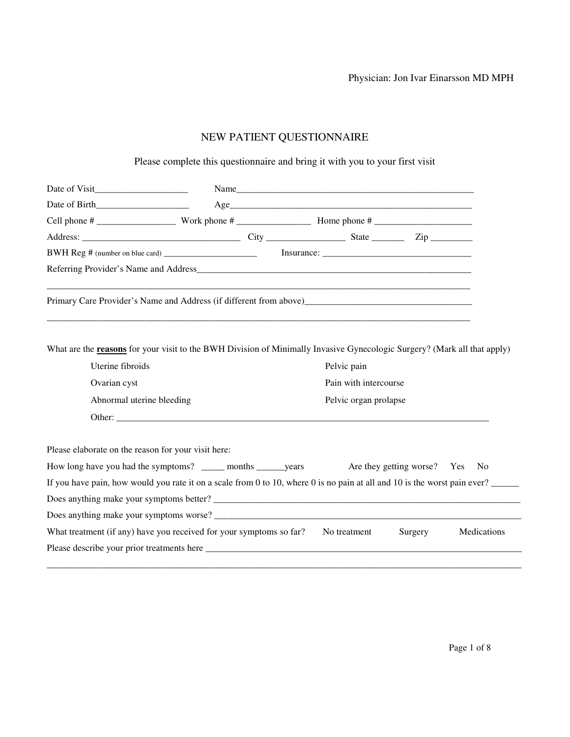Physician: Jon Ivar Einarsson MD MPH

# NEW PATIENT QUESTIONNAIRE

Please complete this questionnaire and bring it with you to your first visit

|                                                                                                                                                                                                                                            |  | Name                  |                             |                |
|--------------------------------------------------------------------------------------------------------------------------------------------------------------------------------------------------------------------------------------------|--|-----------------------|-----------------------------|----------------|
|                                                                                                                                                                                                                                            |  |                       |                             |                |
|                                                                                                                                                                                                                                            |  |                       |                             |                |
|                                                                                                                                                                                                                                            |  |                       |                             |                |
|                                                                                                                                                                                                                                            |  |                       |                             |                |
|                                                                                                                                                                                                                                            |  |                       |                             |                |
|                                                                                                                                                                                                                                            |  |                       |                             |                |
| What are the reasons for your visit to the BWH Division of Minimally Invasive Gynecologic Surgery? (Mark all that apply)<br>Uterine fibroids                                                                                               |  | Pelvic pain           |                             |                |
|                                                                                                                                                                                                                                            |  |                       |                             |                |
| Ovarian cyst                                                                                                                                                                                                                               |  | Pain with intercourse |                             |                |
| Abnormal uterine bleeding                                                                                                                                                                                                                  |  | Pelvic organ prolapse |                             |                |
|                                                                                                                                                                                                                                            |  |                       |                             |                |
| Please elaborate on the reason for your visit here:                                                                                                                                                                                        |  |                       |                             |                |
| How long have you had the symptoms? _______ months ________ years                                                                                                                                                                          |  |                       | Are they getting worse? Yes | N <sub>0</sub> |
| If you have pain, how would you rate it on a scale from 0 to 10, where 0 is no pain at all and 10 is the worst pain ever?                                                                                                                  |  |                       |                             |                |
| Does anything make your symptoms better?                                                                                                                                                                                                   |  |                       |                             |                |
|                                                                                                                                                                                                                                            |  |                       |                             |                |
| What treatment (if any) have you received for your symptoms so far? No treatment                                                                                                                                                           |  |                       | Surgery                     | Medications    |
| Please describe your prior treatments here <b><i>notified the contract of the contract of the contract of the contract of the contract of the contract of the contract of the contract of the contract of the contract of the cont</i></b> |  |                       |                             |                |
|                                                                                                                                                                                                                                            |  |                       |                             |                |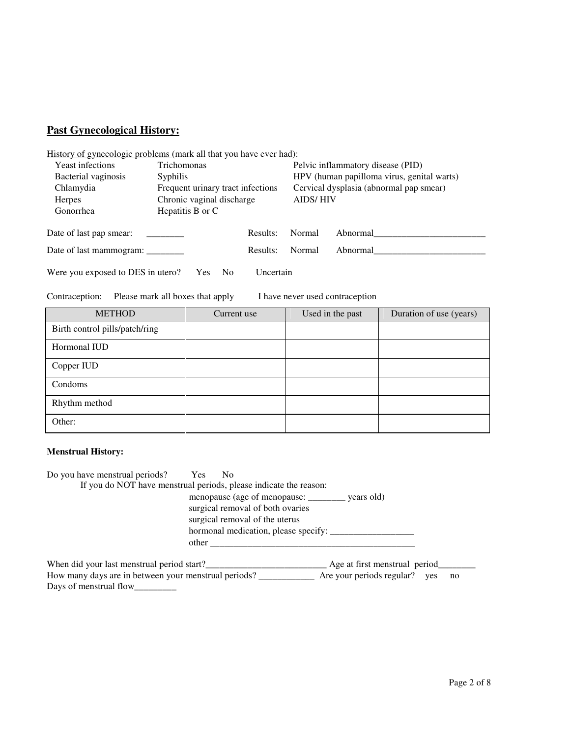# **Past Gynecological History:**

| <u>History of gynecologic problems</u> (mark all that you have ever had): |                                                                                |          |                 |                                            |  |  |  |  |  |
|---------------------------------------------------------------------------|--------------------------------------------------------------------------------|----------|-----------------|--------------------------------------------|--|--|--|--|--|
| Yeast infections                                                          | Trichomonas                                                                    |          |                 | Pelvic inflammatory disease (PID)          |  |  |  |  |  |
| Bacterial vaginosis                                                       | <i>Syphilis</i>                                                                |          |                 | HPV (human papilloma virus, genital warts) |  |  |  |  |  |
| Chlamydia                                                                 | Frequent urinary tract infections                                              |          |                 | Cervical dysplasia (abnormal pap smear)    |  |  |  |  |  |
| <b>Herpes</b>                                                             | Chronic vaginal discharge                                                      |          | <b>AIDS/HIV</b> |                                            |  |  |  |  |  |
| Gonorrhea                                                                 | Hepatitis B or C                                                               |          |                 |                                            |  |  |  |  |  |
| Date of last pap smear:                                                   |                                                                                | Results: | Normal          | Abnormal                                   |  |  |  |  |  |
| Date of last mammogram:                                                   |                                                                                | Results: | Normal          | Abnormal                                   |  |  |  |  |  |
|                                                                           | Were you exposed to DES in utero?<br>Uncertain<br><b>Yes</b><br>N <sub>0</sub> |          |                 |                                            |  |  |  |  |  |

Contraception: Please mark all boxes that apply I have never used contraception

| <b>METHOD</b>                  | Current use | Used in the past | Duration of use (years) |
|--------------------------------|-------------|------------------|-------------------------|
| Birth control pills/patch/ring |             |                  |                         |
| Hormonal IUD                   |             |                  |                         |
| Copper IUD                     |             |                  |                         |
| Condoms                        |             |                  |                         |
| Rhythm method                  |             |                  |                         |
| Other:                         |             |                  |                         |

# **Menstrual History:**

| Do you have menstrual periods? Yes         | N <sub>o</sub>                                                    |  |
|--------------------------------------------|-------------------------------------------------------------------|--|
|                                            | If you do NOT have menstrual periods, please indicate the reason: |  |
|                                            | menopause (age of menopause: <u>______</u> __ years old)          |  |
|                                            | surgical removal of both ovaries                                  |  |
|                                            | surgical removal of the uterus                                    |  |
|                                            | hormonal medication, please specify:                              |  |
|                                            |                                                                   |  |
| When did your last menstrual period start? | Age at first menstrual period                                     |  |

How many days are in between your menstrual periods? \_\_\_\_\_\_\_\_\_\_\_\_ Are your periods regular? yes no Days of menstrual flow\_\_\_\_\_\_\_\_\_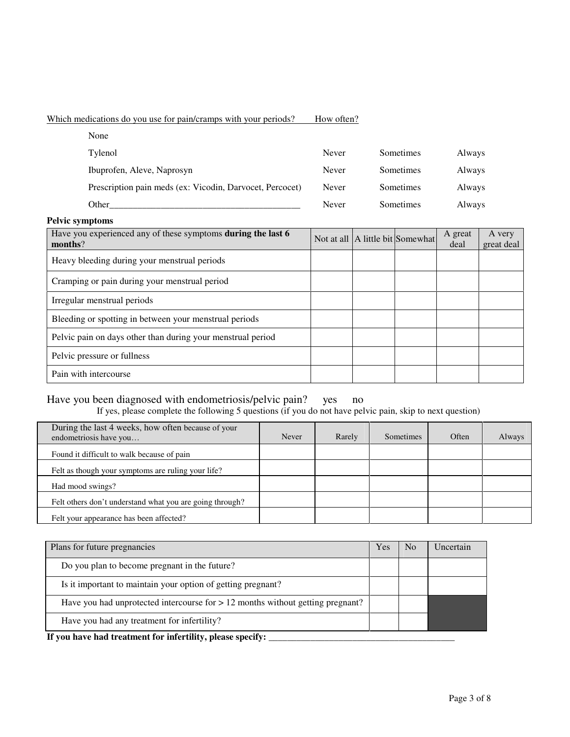# Which medications do you use for pain/cramps with your periods? How often?

| None                                                     |       |           |        |
|----------------------------------------------------------|-------|-----------|--------|
| Tylenol                                                  | Never | Sometimes | Always |
| Ibuprofen, Aleve, Naprosyn                               | Never | Sometimes | Always |
| Prescription pain meds (ex: Vicodin, Darvocet, Percocet) | Never | Sometimes | Always |
| Other                                                    | Never | Sometimes | Always |

| <b>Pelvic symptoms</b>                                                  |  |                                  |                 |                      |
|-------------------------------------------------------------------------|--|----------------------------------|-----------------|----------------------|
| Have you experienced any of these symptoms during the last 6<br>months? |  | Not at all A little bit Somewhat | A great<br>deal | A very<br>great deal |
| Heavy bleeding during your menstrual periods                            |  |                                  |                 |                      |
| Cramping or pain during your menstrual period                           |  |                                  |                 |                      |
| Irregular menstrual periods                                             |  |                                  |                 |                      |
| Bleeding or spotting in between your menstrual periods                  |  |                                  |                 |                      |
| Pelvic pain on days other than during your menstrual period             |  |                                  |                 |                      |
| Pelvic pressure or fullness                                             |  |                                  |                 |                      |
| Pain with intercourse                                                   |  |                                  |                 |                      |

# Have you been diagnosed with endometriosis/pelvic pain? yes no

If yes, please complete the following 5 questions (if you do not have pelvic pain, skip to next question)

| During the last 4 weeks, how often because of your<br>endometriosis have you | Never | Rarely | Sometimes | Often | Always |
|------------------------------------------------------------------------------|-------|--------|-----------|-------|--------|
| Found it difficult to walk because of pain                                   |       |        |           |       |        |
| Felt as though your symptoms are ruling your life?                           |       |        |           |       |        |
| Had mood swings?                                                             |       |        |           |       |        |
| Felt others don't understand what you are going through?                     |       |        |           |       |        |
| Felt your appearance has been affected?                                      |       |        |           |       |        |

| N <sub>0</sub> | Uncertain |
|----------------|-----------|
|                |           |
|                |           |
|                |           |
|                |           |
|                |           |

**If you have had treatment for infertility, please specify: \_\_\_\_\_\_\_\_\_\_\_\_\_\_\_\_\_\_\_\_\_\_\_\_\_\_\_\_\_\_\_\_\_\_\_\_\_\_\_\_**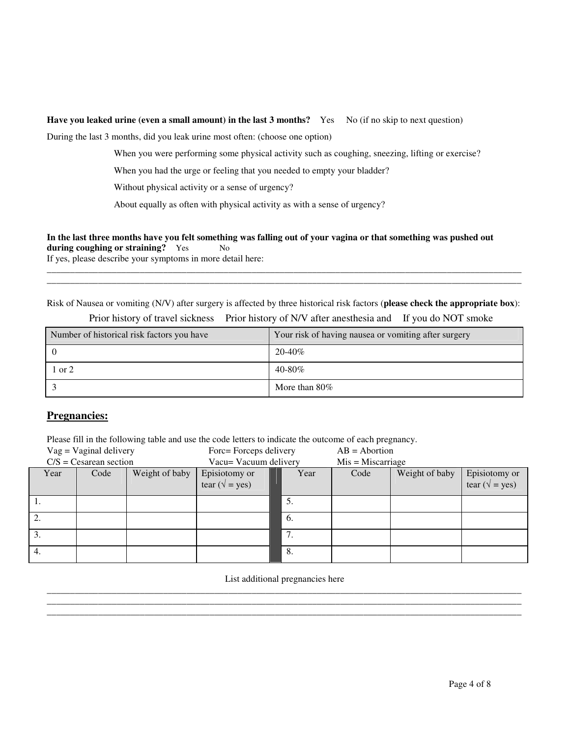#### **Have you leaked urine (even a small amount) in the last 3 months?** Yes No (if no skip to next question)

During the last 3 months, did you leak urine most often: (choose one option)

When you were performing some physical activity such as coughing, sneezing, lifting or exercise?

When you had the urge or feeling that you needed to empty your bladder?

Without physical activity or a sense of urgency?

About equally as often with physical activity as with a sense of urgency?

#### In the last three months have you felt something was falling out of your vagina or that something was pushed out **during coughing or straining?** Yes No

If yes, please describe your symptoms in more detail here:

Risk of Nausea or vomiting (N/V) after surgery is affected by three historical risk factors (**please check the appropriate box**):

\_\_\_\_\_\_\_\_\_\_\_\_\_\_\_\_\_\_\_\_\_\_\_\_\_\_\_\_\_\_\_\_\_\_\_\_\_\_\_\_\_\_\_\_\_\_\_\_\_\_\_\_\_\_\_\_\_\_\_\_\_\_\_\_\_\_\_\_\_\_\_\_\_\_\_\_\_\_\_\_\_\_\_\_\_\_\_\_\_\_\_\_\_\_\_\_\_\_\_\_\_\_ \_\_\_\_\_\_\_\_\_\_\_\_\_\_\_\_\_\_\_\_\_\_\_\_\_\_\_\_\_\_\_\_\_\_\_\_\_\_\_\_\_\_\_\_\_\_\_\_\_\_\_\_\_\_\_\_\_\_\_\_\_\_\_\_\_\_\_\_\_\_\_\_\_\_\_\_\_\_\_\_\_\_\_\_\_\_\_\_\_\_\_\_\_\_\_\_\_\_\_\_\_\_

| Number of historical risk factors you have | Your risk of having nausea or vomiting after surgery |
|--------------------------------------------|------------------------------------------------------|
|                                            | $20 - 40\%$                                          |
| 1 or 2                                     | 40-80%                                               |
|                                            | More than $80\%$                                     |

Prior history of travel sickness Prior history of N/V after anesthesia and If you do NOT smoke

### **Pregnancies:**

Please fill in the following table and use the code letters to indicate the outcome of each pregnancy.

| $Vag = Vaginal delivery$ |                         | Forc=Forceps delivery |                                          | $AB = Abortion$ |                     |      |                |                                          |
|--------------------------|-------------------------|-----------------------|------------------------------------------|-----------------|---------------------|------|----------------|------------------------------------------|
|                          | $C/S = Cesarea$ section |                       | Vacu= Vacuum delivery                    |                 | $Mis = Miscarriage$ |      |                |                                          |
| Year                     | Code                    | Weight of baby        | Episiotomy or<br>tear ( $\sqrt{}$ = yes) |                 | Year                | Code | Weight of baby | Episiotomy or<br>tear ( $\sqrt{}$ = yes) |
|                          |                         |                       |                                          |                 | -5.                 |      |                |                                          |
| 2.                       |                         |                       |                                          |                 | -6.                 |      |                |                                          |
| 3.                       |                         |                       |                                          |                 | 7.                  |      |                |                                          |
| 4.                       |                         |                       |                                          |                 | -8.                 |      |                |                                          |

List additional pregnancies here \_\_\_\_\_\_\_\_\_\_\_\_\_\_\_\_\_\_\_\_\_\_\_\_\_\_\_\_\_\_\_\_\_\_\_\_\_\_\_\_\_\_\_\_\_\_\_\_\_\_\_\_\_\_\_\_\_\_\_\_\_\_\_\_\_\_\_\_\_\_\_\_\_\_\_\_\_\_\_\_\_\_\_\_\_\_\_\_\_\_\_\_\_\_\_\_\_\_\_\_\_\_

\_\_\_\_\_\_\_\_\_\_\_\_\_\_\_\_\_\_\_\_\_\_\_\_\_\_\_\_\_\_\_\_\_\_\_\_\_\_\_\_\_\_\_\_\_\_\_\_\_\_\_\_\_\_\_\_\_\_\_\_\_\_\_\_\_\_\_\_\_\_\_\_\_\_\_\_\_\_\_\_\_\_\_\_\_\_\_\_\_\_\_\_\_\_\_\_\_\_\_\_\_\_ \_\_\_\_\_\_\_\_\_\_\_\_\_\_\_\_\_\_\_\_\_\_\_\_\_\_\_\_\_\_\_\_\_\_\_\_\_\_\_\_\_\_\_\_\_\_\_\_\_\_\_\_\_\_\_\_\_\_\_\_\_\_\_\_\_\_\_\_\_\_\_\_\_\_\_\_\_\_\_\_\_\_\_\_\_\_\_\_\_\_\_\_\_\_\_\_\_\_\_\_\_\_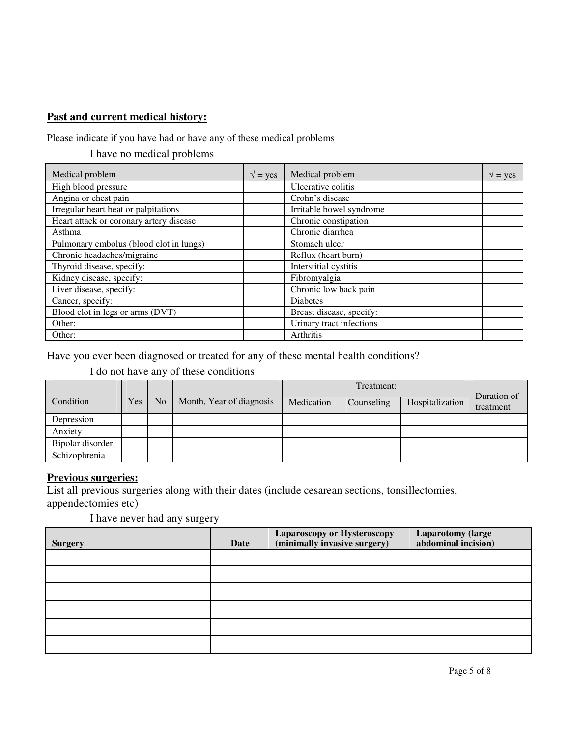# **Past and current medical history:**

Please indicate if you have had or have any of these medical problems

I have no medical problems

| Medical problem                         | $\sqrt{}$ = yes | Medical problem          | $\sqrt{}$ = yes |
|-----------------------------------------|-----------------|--------------------------|-----------------|
| High blood pressure                     |                 | Ulcerative colitis       |                 |
| Angina or chest pain                    |                 | Crohn's disease          |                 |
| Irregular heart beat or palpitations    |                 | Irritable bowel syndrome |                 |
| Heart attack or coronary artery disease |                 | Chronic constipation     |                 |
| Asthma                                  |                 | Chronic diarrhea         |                 |
| Pulmonary embolus (blood clot in lungs) |                 | Stomach ulcer            |                 |
| Chronic headaches/migraine              |                 | Reflux (heart burn)      |                 |
| Thyroid disease, specify:               |                 | Interstitial cystitis    |                 |
| Kidney disease, specify:                |                 | Fibromyalgia             |                 |
| Liver disease, specify:                 |                 | Chronic low back pain    |                 |
| Cancer, specify:                        |                 | <b>Diabetes</b>          |                 |
| Blood clot in legs or arms (DVT)        |                 | Breast disease, specify: |                 |
| Other:                                  |                 | Urinary tract infections |                 |
| Other:                                  |                 | Arthritis                |                 |

Have you ever been diagnosed or treated for any of these mental health conditions?

I do not have any of these conditions

|                  |     |                |                          |            | Treatment: |                 |                          |
|------------------|-----|----------------|--------------------------|------------|------------|-----------------|--------------------------|
| Condition        | Yes | N <sub>o</sub> | Month, Year of diagnosis | Medication | Counseling | Hospitalization | Duration of<br>treatment |
| Depression       |     |                |                          |            |            |                 |                          |
| Anxiety          |     |                |                          |            |            |                 |                          |
| Bipolar disorder |     |                |                          |            |            |                 |                          |
| Schizophrenia    |     |                |                          |            |            |                 |                          |

### **Previous surgeries:**

List all previous surgeries along with their dates (include cesarean sections, tonsillectomies, appendectomies etc)

I have never had any surgery

| <b>Surgery</b> | Date | <b>Laparoscopy or Hysteroscopy</b><br>(minimally invasive surgery) | <b>Laparotomy (large</b><br>abdominal incision) |
|----------------|------|--------------------------------------------------------------------|-------------------------------------------------|
|                |      |                                                                    |                                                 |
|                |      |                                                                    |                                                 |
|                |      |                                                                    |                                                 |
|                |      |                                                                    |                                                 |
|                |      |                                                                    |                                                 |
|                |      |                                                                    |                                                 |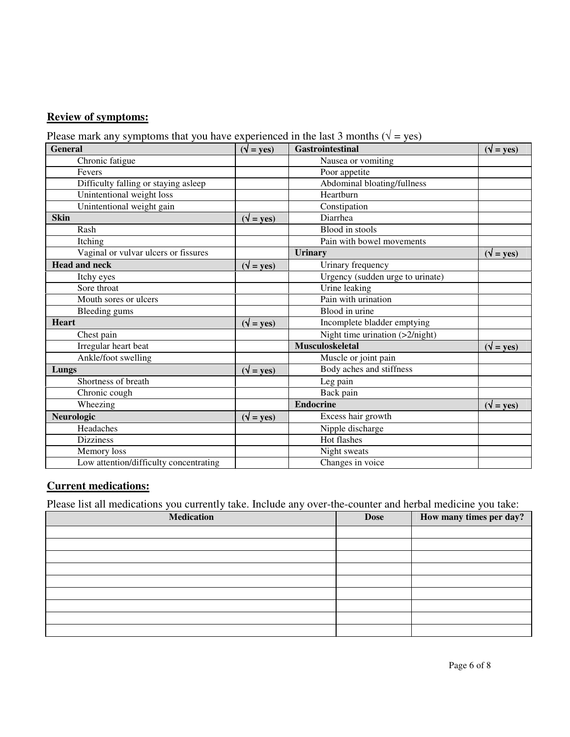# **Review of symptoms:**

Please mark any symptoms that you have experienced in the last 3 months ( $\sqrt{ }$  = yes)

| <b>General</b>                         | $(\sqrt{\ }$ = yes)          | <b>Gastrointestinal</b>           | $(\sqrt{\phantom{a}} = \text{yes})$ |
|----------------------------------------|------------------------------|-----------------------------------|-------------------------------------|
| Chronic fatigue                        |                              | Nausea or vomiting                |                                     |
| Fevers                                 |                              | Poor appetite                     |                                     |
| Difficulty falling or staying asleep   |                              | Abdominal bloating/fullness       |                                     |
| Unintentional weight loss              |                              | Heartburn                         |                                     |
| Unintentional weight gain              |                              | Constipation                      |                                     |
| <b>Skin</b>                            | $(\sqrt{y} = \text{yes})$    | Diarrhea                          |                                     |
| Rash                                   |                              | Blood in stools                   |                                     |
| Itching                                |                              | Pain with bowel movements         |                                     |
| Vaginal or vulvar ulcers or fissures   |                              | <b>Urinary</b>                    | $(\sqrt{\ } = \text{yes})$          |
| <b>Head and neck</b>                   | $(\sqrt{\ } = \text{yes})$   | Urinary frequency                 |                                     |
| Itchy eyes                             |                              | Urgency (sudden urge to urinate)  |                                     |
| Sore throat                            |                              | Urine leaking                     |                                     |
| Mouth sores or ulcers                  |                              | Pain with urination               |                                     |
| Bleeding gums                          |                              | Blood in urine                    |                                     |
| <b>Heart</b>                           | $(\sqrt{\ }$ = yes)          | Incomplete bladder emptying       |                                     |
| Chest pain                             |                              | Night time urination $(>2/night)$ |                                     |
| Irregular heart beat                   |                              | <b>Musculoskeletal</b>            | $(\sqrt{y} = y \cos{\theta})$       |
| Ankle/foot swelling                    |                              | Muscle or joint pain              |                                     |
| Lungs                                  | $(\sqrt{y} = \gamma \cos x)$ | Body aches and stiffness          |                                     |
| Shortness of breath                    |                              | Leg pain                          |                                     |
| Chronic cough                          |                              | Back pain                         |                                     |
| Wheezing                               |                              | <b>Endocrine</b>                  | $(\sqrt{\ }$ = yes)                 |
| Neurologic                             | $(\sqrt{\ } = \text{yes})$   | Excess hair growth                |                                     |
| Headaches                              |                              | Nipple discharge                  |                                     |
| <b>Dizziness</b>                       |                              | Hot flashes                       |                                     |
| Memory loss                            |                              | Night sweats                      |                                     |
| Low attention/difficulty concentrating |                              | Changes in voice                  |                                     |

# **Current medications:**

Please list all medications you currently take. Include any over-the-counter and herbal medicine you take:

| <b>Medication</b> | <b>Dose</b> | How many times per day? |
|-------------------|-------------|-------------------------|
|                   |             |                         |
|                   |             |                         |
|                   |             |                         |
|                   |             |                         |
|                   |             |                         |
|                   |             |                         |
|                   |             |                         |
|                   |             |                         |
|                   |             |                         |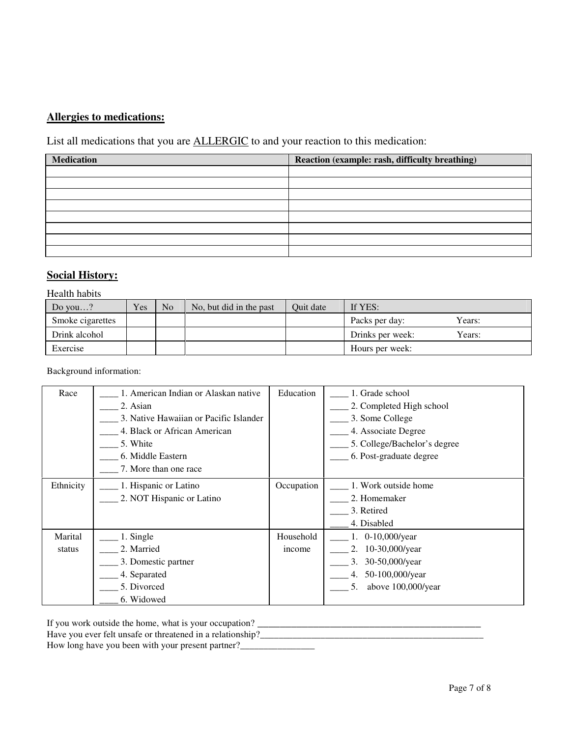# **Allergies to medications:**

List all medications that you are ALLERGIC to and your reaction to this medication:

| <b>Medication</b> | Reaction (example: rash, difficulty breathing) |
|-------------------|------------------------------------------------|
|                   |                                                |
|                   |                                                |
|                   |                                                |
|                   |                                                |
|                   |                                                |
|                   |                                                |
|                   |                                                |
|                   |                                                |

### **Social History:**

#### Health habits

| Do you?          | Yes | No | No, but did in the past | Ouit date | If YES:                    |
|------------------|-----|----|-------------------------|-----------|----------------------------|
| Smoke cigarettes |     |    |                         |           | Years:<br>Packs per day:   |
| Drink alcohol    |     |    |                         |           | Years:<br>Drinks per week: |
| Exercise         |     |    |                         |           | Hours per week:            |

#### Background information:

| Race      | 1. American Indian or Alaskan native   | Education  | 1. Grade school              |
|-----------|----------------------------------------|------------|------------------------------|
|           | 2. Asian                               |            | 2. Completed High school     |
|           | 3. Native Hawaiian or Pacific Islander |            | 3. Some College              |
|           | 4. Black or African American           |            | 4. Associate Degree          |
|           | 5. White                               |            | 5. College/Bachelor's degree |
|           | 6. Middle Eastern                      |            | 6. Post-graduate degree      |
|           | 7. More than one race                  |            |                              |
| Ethnicity | 1. Hispanic or Latino                  | Occupation | 1. Work outside home         |
|           | 2. NOT Hispanic or Latino              |            | 2. Homemaker                 |
|           |                                        |            | 3. Retired                   |
|           |                                        |            | 4. Disabled                  |
| Marital   | 1. Single                              | Household  | 1. 0-10,000/year             |
| status    | 2. Married                             | income     | $10-30,000$ /year<br>2.      |
|           | 3. Domestic partner                    |            | 30-50,000/year<br>3.         |
|           | 4. Separated                           |            | 4. 50-100,000/year           |
|           | 5. Divorced                            |            | above 100,000/year<br>5.     |
|           | 6. Widowed                             |            |                              |

If you work outside the home, what is your occupation? \_\_\_\_\_\_\_\_\_\_\_\_\_\_\_\_\_\_\_\_\_\_\_\_\_\_\_\_\_\_\_\_\_\_\_\_\_\_\_\_

Have you ever felt unsafe or threatened in a relationship?\_\_\_\_\_\_\_\_\_\_\_\_\_\_\_\_\_\_\_\_\_\_\_\_\_\_\_\_\_\_\_\_\_\_\_\_\_\_\_\_\_\_\_\_\_\_\_\_

How long have you been with your present partner?\_\_\_\_\_\_\_\_\_\_\_\_\_\_\_\_\_\_\_\_\_\_\_\_\_\_\_\_\_\_\_